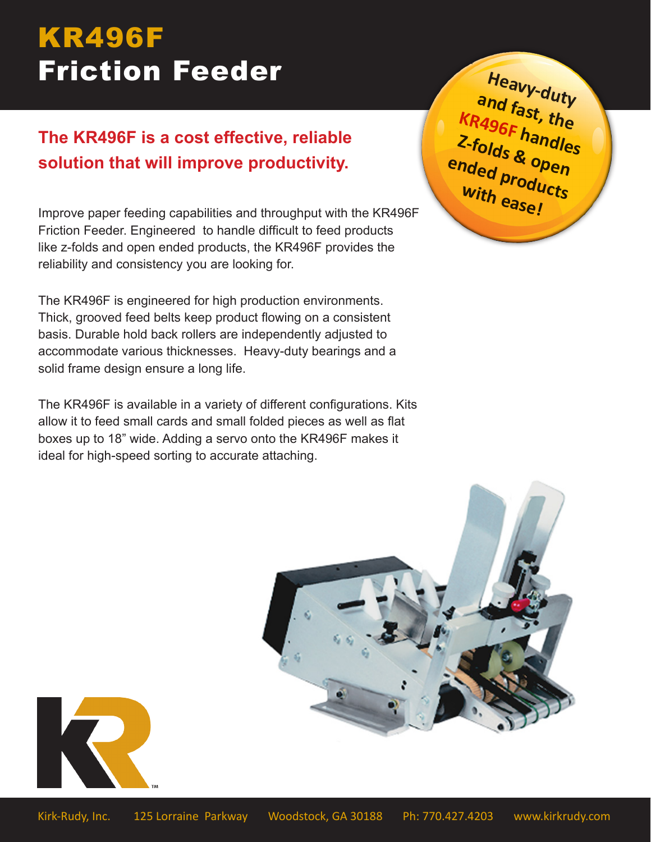# KR496F Friction Feeder

## **The KR496F is a cost effective, reliable solution that will improve productivity.**

Improve paper feeding capabilities and throughput with the KR496F Friction Feeder. Engineered to handle difficult to feed products like z-folds and open ended products, the KR496F provides the reliability and consistency you are looking for.

The KR496F is engineered for high production environments. Thick, grooved feed belts keep product flowing on a consistent basis. Durable hold back rollers are independently adjusted to accommodate various thicknesses. Heavy-duty bearings and a solid frame design ensure a long life.

The KR496F is available in a variety of different configurations. Kits allow it to feed small cards and small folded pieces as well as flat boxes up to 18" wide. Adding a servo onto the KR496F makes it ideal for high-speed sorting to accurate attaching.

**Heavy-duty and fast, the KR496F handles Z-folds & open ended products with ease!**